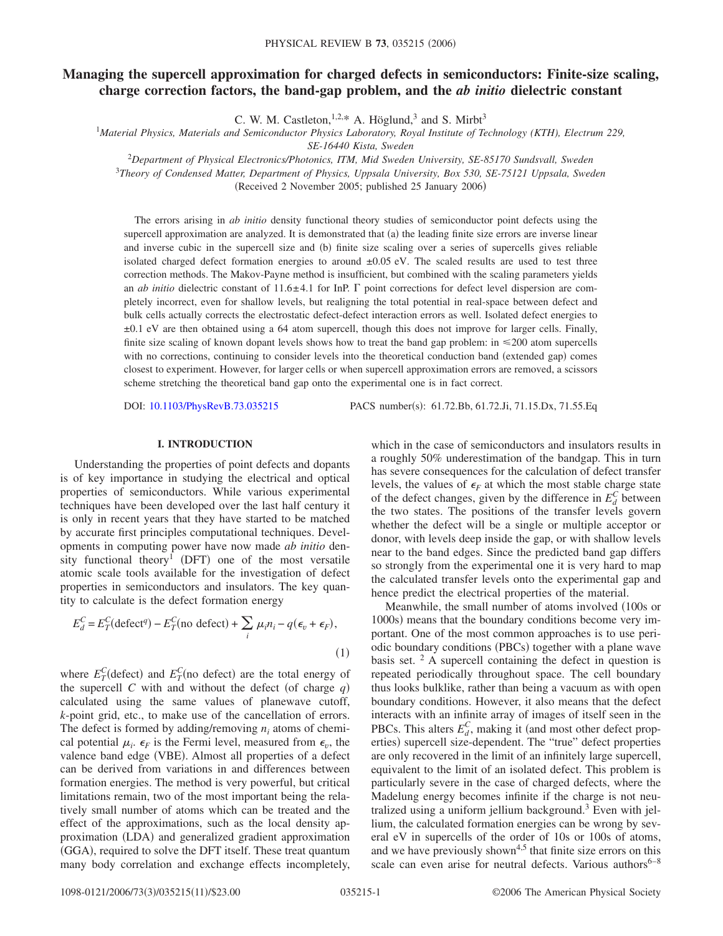# **Managing the supercell approximation for charged defects in semiconductors: Finite-size scaling, charge correction factors, the band-gap problem, and the** *ab initio* **dielectric constant**

C. W. M. Castleton,  $1,2,*$  A. Höglund, 3 and S. Mirbt<sup>3</sup>

<sup>1</sup>*Material Physics, Materials and Semiconductor Physics Laboratory, Royal Institute of Technology (KTH), Electrum 229,*

*SE-16440 Kista, Sweden*

<sup>2</sup>*Department of Physical Electronics/Photonics, ITM, Mid Sweden University, SE-85170 Sundsvall, Sweden*

<sup>3</sup>*Theory of Condensed Matter, Department of Physics, Uppsala University, Box 530, SE-75121 Uppsala, Sweden*

(Received 2 November 2005; published 25 January 2006)

The errors arising in *ab initio* density functional theory studies of semiconductor point defects using the supercell approximation are analyzed. It is demonstrated that (a) the leading finite size errors are inverse linear and inverse cubic in the supercell size and (b) finite size scaling over a series of supercells gives reliable isolated charged defect formation energies to around  $\pm 0.05$  eV. The scaled results are used to test three correction methods. The Makov-Payne method is insufficient, but combined with the scaling parameters yields an *ab initio* dielectric constant of 11.6 $\pm$ 4.1 for InP.  $\Gamma$  point corrections for defect level dispersion are completely incorrect, even for shallow levels, but realigning the total potential in real-space between defect and bulk cells actually corrects the electrostatic defect-defect interaction errors as well. Isolated defect energies to ±0.1 eV are then obtained using a 64 atom supercell, though this does not improve for larger cells. Finally, finite size scaling of known dopant levels shows how to treat the band gap problem: in  $\leq 200$  atom supercells with no corrections, continuing to consider levels into the theoretical conduction band (extended gap) comes closest to experiment. However, for larger cells or when supercell approximation errors are removed, a scissors scheme stretching the theoretical band gap onto the experimental one is in fact correct.

DOI: [10.1103/PhysRevB.73.035215](http://dx.doi.org/10.1103/PhysRevB.73.035215)

PACS number(s): 61.72.Bb, 61.72.Ji, 71.15.Dx, 71.55.Eq

# **I. INTRODUCTION**

Understanding the properties of point defects and dopants is of key importance in studying the electrical and optical properties of semiconductors. While various experimental techniques have been developed over the last half century it is only in recent years that they have started to be matched by accurate first principles computational techniques. Developments in computing power have now made *ab initio* density functional theory<sup>1</sup> (DFT) one of the most versatile atomic scale tools available for the investigation of defect properties in semiconductors and insulators. The key quantity to calculate is the defect formation energy

$$
E_d^C = E_T^C (\text{defect}^q) - E_T^C(\text{no defect}) + \sum_i \mu_i n_i - q(\epsilon_v + \epsilon_F),
$$
\n(1)

where  $E_T^C$ (defect) and  $E_T^C$ (no defect) are the total energy of the supercell *C* with and without the defect (of charge  $q$ ) calculated using the same values of planewave cutoff, *k*-point grid, etc., to make use of the cancellation of errors. The defect is formed by adding/removing  $n_i$  atoms of chemical potential  $\mu_i$ .  $\epsilon_F$  is the Fermi level, measured from  $\epsilon_v$ , the valence band edge (VBE). Almost all properties of a defect can be derived from variations in and differences between formation energies. The method is very powerful, but critical limitations remain, two of the most important being the relatively small number of atoms which can be treated and the effect of the approximations, such as the local density approximation (LDA) and generalized gradient approximation (GGA), required to solve the DFT itself. These treat quantum many body correlation and exchange effects incompletely,

which in the case of semiconductors and insulators results in a roughly 50% underestimation of the bandgap. This in turn has severe consequences for the calculation of defect transfer levels, the values of  $\epsilon_F$  at which the most stable charge state of the defect changes, given by the difference in  $E_d^C$  between the two states. The positions of the transfer levels govern whether the defect will be a single or multiple acceptor or donor, with levels deep inside the gap, or with shallow levels near to the band edges. Since the predicted band gap differs so strongly from the experimental one it is very hard to map the calculated transfer levels onto the experimental gap and hence predict the electrical properties of the material.

Meanwhile, the small number of atoms involved (100s or 1000s) means that the boundary conditions become very important. One of the most common approaches is to use periodic boundary conditions (PBCs) together with a plane wave basis set.  $2$  A supercell containing the defect in question is repeated periodically throughout space. The cell boundary thus looks bulklike, rather than being a vacuum as with open boundary conditions. However, it also means that the defect interacts with an infinite array of images of itself seen in the PBCs. This alters  $E_d^C$ , making it (and most other defect properties) supercell size-dependent. The "true" defect properties are only recovered in the limit of an infinitely large supercell, equivalent to the limit of an isolated defect. This problem is particularly severe in the case of charged defects, where the Madelung energy becomes infinite if the charge is not neutralized using a uniform jellium background.<sup>3</sup> Even with jellium, the calculated formation energies can be wrong by several eV in supercells of the order of 10s or 100s of atoms, and we have previously shown<sup>4,5</sup> that finite size errors on this scale can even arise for neutral defects. Various authors<sup>6–8</sup>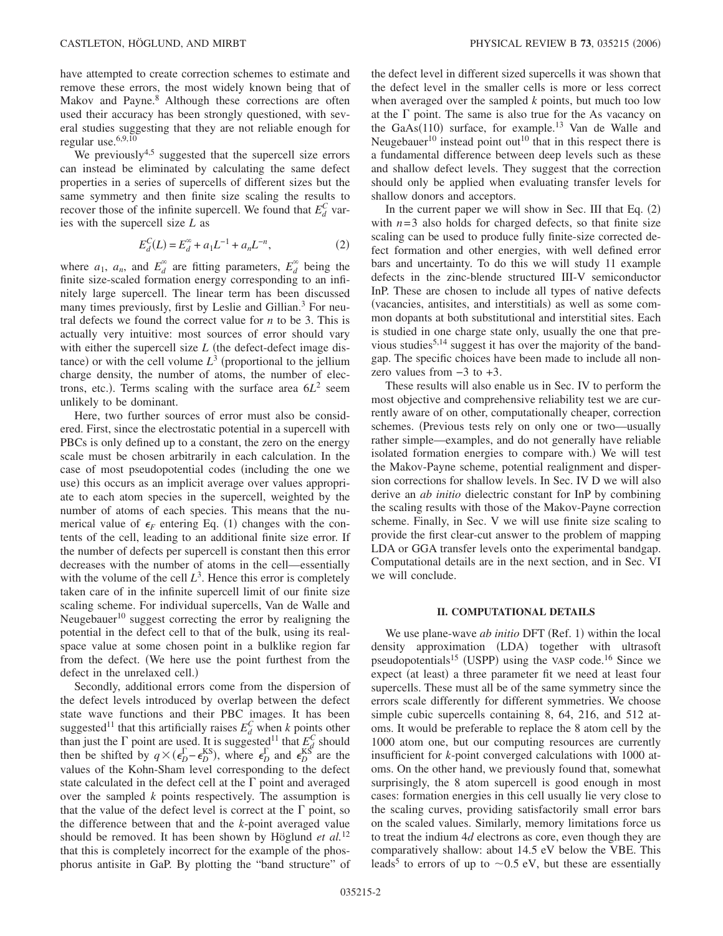have attempted to create correction schemes to estimate and remove these errors, the most widely known being that of Makov and Payne.<sup>8</sup> Although these corrections are often used their accuracy has been strongly questioned, with several studies suggesting that they are not reliable enough for regular use.<sup>6,9,10</sup>

We previously<sup>4,5</sup> suggested that the supercell size errors can instead be eliminated by calculating the same defect properties in a series of supercells of different sizes but the same symmetry and then finite size scaling the results to recover those of the infinite supercell. We found that  $E_d^C$  varies with the supercell size *L* as

$$
E_d^C(L) = E_d^{\infty} + a_1 L^{-1} + a_n L^{-n},
$$
\n(2)

where  $a_1$ ,  $a_n$ , and  $E_d^{\infty}$  are fitting parameters,  $E_d^{\infty}$  being the finite size-scaled formation energy corresponding to an infinitely large supercell. The linear term has been discussed many times previously, first by Leslie and Gillian.<sup>3</sup> For neutral defects we found the correct value for *n* to be 3. This is actually very intuitive: most sources of error should vary with either the supercell size  $L$  (the defect-defect image distance) or with the cell volume  $L^3$  (proportional to the jellium charge density, the number of atoms, the number of electrons, etc.). Terms scaling with the surface area  $6L^2$  seem unlikely to be dominant.

Here, two further sources of error must also be considered. First, since the electrostatic potential in a supercell with PBCs is only defined up to a constant, the zero on the energy scale must be chosen arbitrarily in each calculation. In the case of most pseudopotential codes (including the one we use) this occurs as an implicit average over values appropriate to each atom species in the supercell, weighted by the number of atoms of each species. This means that the numerical value of  $\epsilon_F$  entering Eq. (1) changes with the contents of the cell, leading to an additional finite size error. If the number of defects per supercell is constant then this error decreases with the number of atoms in the cell—essentially with the volume of the cell  $L^3$ . Hence this error is completely taken care of in the infinite supercell limit of our finite size scaling scheme. For individual supercells, Van de Walle and Neugebauer<sup>10</sup> suggest correcting the error by realigning the potential in the defect cell to that of the bulk, using its realspace value at some chosen point in a bulklike region far from the defect. We here use the point furthest from the defect in the unrelaxed cell.)

Secondly, additional errors come from the dispersion of the defect levels introduced by overlap between the defect state wave functions and their PBC images. It has been suggested<sup>11</sup> that this artificially raises  $E_d^C$  when *k* points other than just the  $\Gamma$  point are used. It is suggested<sup>11</sup> that  $E_{cd}^{C}$  should then be shifted by  $q \times (\epsilon_D^{\Gamma} - \epsilon_D^{KS})$ , where  $\epsilon_D^{\Gamma}$  and  $\epsilon_D^{KS}$  are the values of the Kohn-Sham level corresponding to the defect state calculated in the defect cell at the  $\Gamma$  point and averaged over the sampled *k* points respectively. The assumption is that the value of the defect level is correct at the  $\Gamma$  point, so the difference between that and the *k*-point averaged value should be removed. It has been shown by Höglund *et al.*<sup>12</sup> that this is completely incorrect for the example of the phosphorus antisite in GaP. By plotting the "band structure" of the defect level in different sized supercells it was shown that the defect level in the smaller cells is more or less correct when averaged over the sampled *k* points, but much too low at the  $\Gamma$  point. The same is also true for the As vacancy on the GaAs $(110)$  surface, for example.<sup>13</sup> Van de Walle and Neugebauer<sup>10</sup> instead point out<sup>10</sup> that in this respect there is a fundamental difference between deep levels such as these and shallow defect levels. They suggest that the correction should only be applied when evaluating transfer levels for shallow donors and acceptors.

In the current paper we will show in Sec. III that Eq.  $(2)$ with  $n=3$  also holds for charged defects, so that finite size scaling can be used to produce fully finite-size corrected defect formation and other energies, with well defined error bars and uncertainty. To do this we will study 11 example defects in the zinc-blende structured III-V semiconductor InP. These are chosen to include all types of native defects (vacancies, antisites, and interstitials) as well as some common dopants at both substitutional and interstitial sites. Each is studied in one charge state only, usually the one that previous studies<sup>5,14</sup> suggest it has over the majority of the bandgap. The specific choices have been made to include all nonzero values from −3 to +3.

These results will also enable us in Sec. IV to perform the most objective and comprehensive reliability test we are currently aware of on other, computationally cheaper, correction schemes. (Previous tests rely on only one or two—usually rather simple—examples, and do not generally have reliable isolated formation energies to compare with.) We will test the Makov-Payne scheme, potential realignment and dispersion corrections for shallow levels. In Sec. IV D we will also derive an *ab initio* dielectric constant for InP by combining the scaling results with those of the Makov-Payne correction scheme. Finally, in Sec. V we will use finite size scaling to provide the first clear-cut answer to the problem of mapping LDA or GGA transfer levels onto the experimental bandgap. Computational details are in the next section, and in Sec. VI we will conclude.

## **II. COMPUTATIONAL DETAILS**

We use plane-wave *ab initio* DFT (Ref. 1) within the local density approximation (LDA) together with ultrasoft pseudopotentials<sup>15</sup> (USPP) using the VASP code.<sup>16</sup> Since we expect (at least) a three parameter fit we need at least four supercells. These must all be of the same symmetry since the errors scale differently for different symmetries. We choose simple cubic supercells containing 8, 64, 216, and 512 atoms. It would be preferable to replace the 8 atom cell by the 1000 atom one, but our computing resources are currently insufficient for *k*-point converged calculations with 1000 atoms. On the other hand, we previously found that, somewhat surprisingly, the 8 atom supercell is good enough in most cases: formation energies in this cell usually lie very close to the scaling curves, providing satisfactorily small error bars on the scaled values. Similarly, memory limitations force us to treat the indium 4*d* electrons as core, even though they are comparatively shallow: about 14.5 eV below the VBE. This leads<sup>5</sup> to errors of up to  $\sim$  0.5 eV, but these are essentially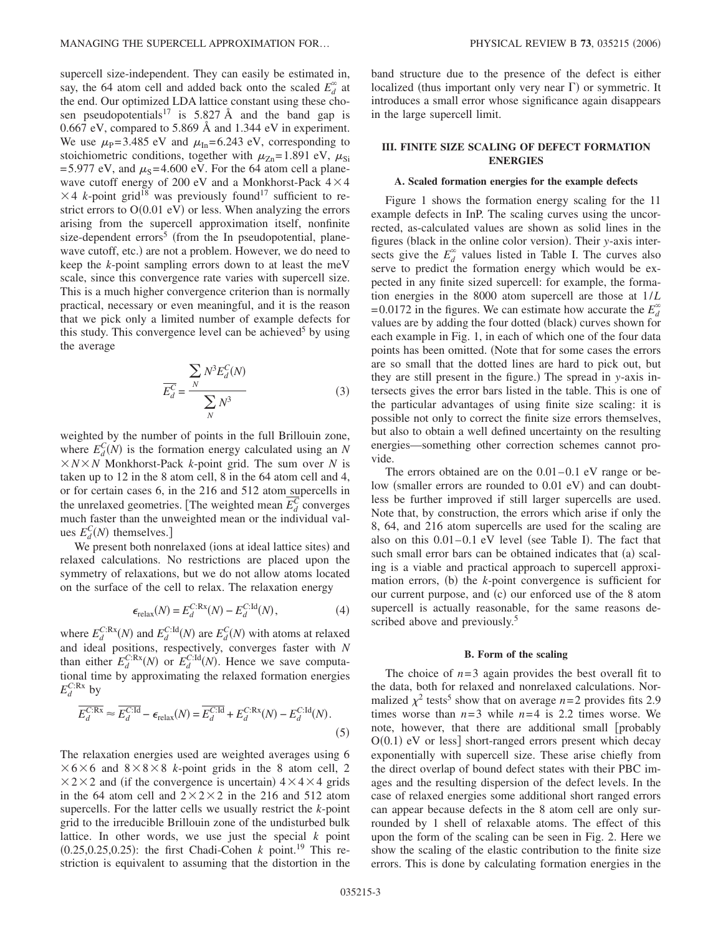supercell size-independent. They can easily be estimated in, say, the 64 atom cell and added back onto the scaled  $E_d^{\infty}$  at the end. Our optimized LDA lattice constant using these chosen pseudopotentials<sup>17</sup> is 5.827 Å and the band gap is 0.667 eV, compared to 5.869 Å and 1.344 eV in experiment. We use  $\mu_{\rm P}$ =3.485 eV and  $\mu_{\rm In}$ =6.243 eV, corresponding to stoichiometric conditions, together with  $\mu_{Zn}$ =1.891 eV,  $\mu_{Si}$ =5.977 eV, and  $\mu$ <sub>S</sub>=4.600 eV. For the 64 atom cell a planewave cutoff energy of 200 eV and a Monkhorst-Pack  $4 \times 4$  $\times$  4 *k*-point grid<sup>18</sup> was previously found<sup>17</sup> sufficient to restrict errors to  $O(0.01 \text{ eV})$  or less. When analyzing the errors arising from the supercell approximation itself, nonfinite size-dependent errors<sup>5</sup> (from the In pseudopotential, planewave cutoff, etc.) are not a problem. However, we do need to keep the *k*-point sampling errors down to at least the meV scale, since this convergence rate varies with supercell size. This is a much higher convergence criterion than is normally practical, necessary or even meaningful, and it is the reason that we pick only a limited number of example defects for this study. This convergence level can be achieved<sup>5</sup> by using the average

$$
\overline{E_d^C} = \frac{\sum_{N} N^3 E_d^C(N)}{\sum_{N} N^3}
$$
(3)

weighted by the number of points in the full Brillouin zone, where  $E_d^C(N)$  is the formation energy calculated using an *N*  $X/N \times N$  Monkhorst-Pack *k*-point grid. The sum over *N* is taken up to 12 in the 8 atom cell, 8 in the 64 atom cell and 4, or for certain cases 6, in the 216 and 512 atom supercells in the unrelaxed geometries. [The weighted mean  $\overline{E_d^C}$  converges much faster than the unweighted mean or the individual values  $E_d^C(N)$  themselves.]

We present both nonrelaxed (ions at ideal lattice sites) and relaxed calculations. No restrictions are placed upon the symmetry of relaxations, but we do not allow atoms located on the surface of the cell to relax. The relaxation energy

$$
\epsilon_{\text{relax}}(N) = E_d^{C: \text{Rx}}(N) - E_d^{C: \text{Id}}(N),\tag{4}
$$

where  $E_d^{\text{C:Rx}}(N)$  and  $E_d^{\text{C:Id}}(N)$  are  $E_d^{\text{C}}(N)$  with atoms at relaxed and ideal positions, respectively, converges faster with *N* than either  $E_d^{\text{C:Rx}}(N)$  or  $E_d^{\text{C:Id}}(N)$ . Hence we save computational time by approximating the relaxed formation energies  $E_d^{C:Rx}$  by

$$
\overline{E_d^{\text{C:Rx}}} \approx \overline{E_d^{\text{C:Id}}} - \epsilon_{\text{relax}}(N) = \overline{E_d^{\text{C:Id}}} + E_d^{\text{C:Rx}}(N) - E_d^{\text{C:Id}}(N). \tag{5}
$$

The relaxation energies used are weighted averages using 6  $\times$  6  $\times$  6 and 8  $\times$  8  $\times$  8  $\times$  *k*-point grids in the 8 atom cell, 2  $\times$  2  $\times$  2 and (if the convergence is uncertain) 4  $\times$  4  $\times$  4 grids in the 64 atom cell and  $2 \times 2 \times 2$  in the 216 and 512 atom supercells. For the latter cells we usually restrict the *k*-point grid to the irreducible Brillouin zone of the undisturbed bulk lattice. In other words, we use just the special *k* point  $(0.25, 0.25, 0.25)$ : the first Chadi-Cohen *k* point.<sup>19</sup> This restriction is equivalent to assuming that the distortion in the band structure due to the presence of the defect is either localized (thus important only very near  $\Gamma$ ) or symmetric. It introduces a small error whose significance again disappears in the large supercell limit.

# **III. FINITE SIZE SCALING OF DEFECT FORMATION ENERGIES**

## **A. Scaled formation energies for the example defects**

Figure 1 shows the formation energy scaling for the 11 example defects in InP. The scaling curves using the uncorrected, as-calculated values are shown as solid lines in the figures (black in the online color version). Their *y*-axis intersects give the  $E_d^{\infty}$  values listed in Table I. The curves also serve to predict the formation energy which would be expected in any finite sized supercell: for example, the formation energies in the 8000 atom supercell are those at 1/*L* =0.0172 in the figures. We can estimate how accurate the  $E_d^{\infty}$ values are by adding the four dotted (black) curves shown for each example in Fig. 1, in each of which one of the four data points has been omitted. Note that for some cases the errors are so small that the dotted lines are hard to pick out, but they are still present in the figure.) The spread in *y*-axis intersects gives the error bars listed in the table. This is one of the particular advantages of using finite size scaling: it is possible not only to correct the finite size errors themselves, but also to obtain a well defined uncertainty on the resulting energies—something other correction schemes cannot provide.

The errors obtained are on the 0.01–0.1 eV range or below (smaller errors are rounded to 0.01 eV) and can doubtless be further improved if still larger supercells are used. Note that, by construction, the errors which arise if only the 8, 64, and 216 atom supercells are used for the scaling are also on this 0.01-0.1 eV level (see Table I). The fact that such small error bars can be obtained indicates that (a) scaling is a viable and practical approach to supercell approximation errors, (b) the *k*-point convergence is sufficient for our current purpose, and (c) our enforced use of the 8 atom supercell is actually reasonable, for the same reasons described above and previously.<sup>5</sup>

#### **B. Form of the scaling**

The choice of  $n=3$  again provides the best overall fit to the data, both for relaxed and nonrelaxed calculations. Normalized  $\chi^2$  tests<sup>5</sup> show that on average *n*=2 provides fits 2.9 times worse than  $n=3$  while  $n=4$  is 2.2 times worse. We note, however, that there are additional small [probably  $O(0.1)$  eV or less] short-ranged errors present which decay exponentially with supercell size. These arise chiefly from the direct overlap of bound defect states with their PBC images and the resulting dispersion of the defect levels. In the case of relaxed energies some additional short ranged errors can appear because defects in the 8 atom cell are only surrounded by 1 shell of relaxable atoms. The effect of this upon the form of the scaling can be seen in Fig. 2. Here we show the scaling of the elastic contribution to the finite size errors. This is done by calculating formation energies in the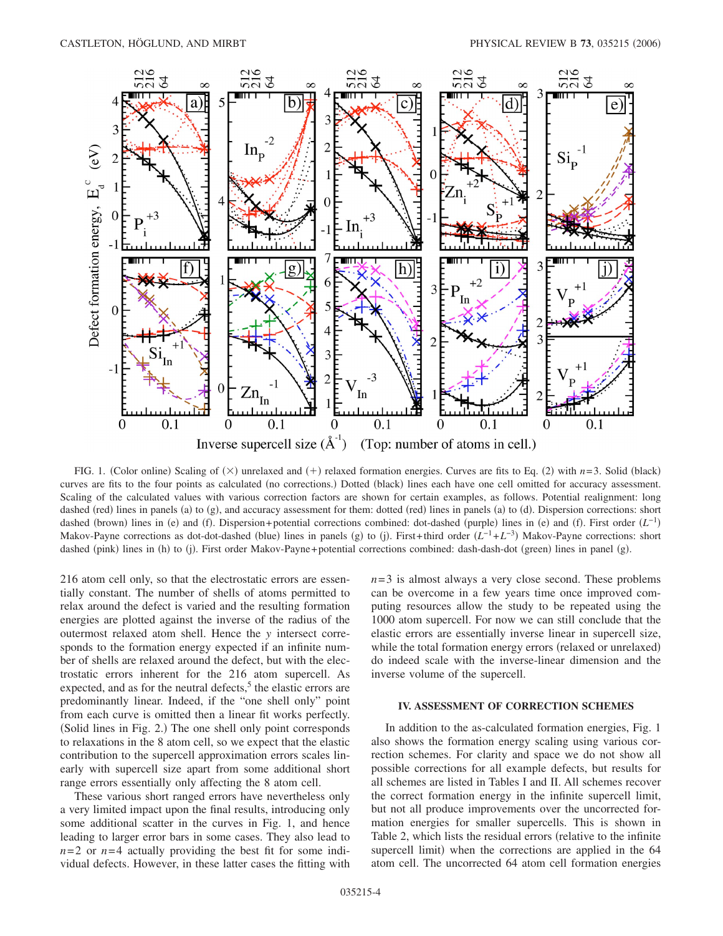

FIG. 1. (Color online) Scaling of  $(\times)$  unrelaxed and  $(+)$  relaxed formation energies. Curves are fits to Eq. (2) with *n*=3. Solid (black) curves are fits to the four points as calculated (no corrections.) Dotted (black) lines each have one cell omitted for accuracy assessment. Scaling of the calculated values with various correction factors are shown for certain examples, as follows. Potential realignment: long dashed (red) lines in panels (a) to (g), and accuracy assessment for them: dotted (red) lines in panels (a) to (d). Dispersion corrections: short dashed (brown) lines in (e) and (f). Dispersion+potential corrections combined: dot-dashed (purple) lines in (e) and (f). First order  $(L^{-1})$ Makov-Payne corrections as dot-dot-dashed (blue) lines in panels (g) to (j). First+third order  $(L^{-1}+L^{-3})$  Makov-Payne corrections: short dashed (pink) lines in (h) to (j). First order Makov-Payne+potential corrections combined: dash-dash-dot (green) lines in panel (g).

216 atom cell only, so that the electrostatic errors are essentially constant. The number of shells of atoms permitted to relax around the defect is varied and the resulting formation energies are plotted against the inverse of the radius of the outermost relaxed atom shell. Hence the *y* intersect corresponds to the formation energy expected if an infinite number of shells are relaxed around the defect, but with the electrostatic errors inherent for the 216 atom supercell. As expected, and as for the neutral defects, $5$  the elastic errors are predominantly linear. Indeed, if the "one shell only" point from each curve is omitted then a linear fit works perfectly. (Solid lines in Fig. 2.) The one shell only point corresponds to relaxations in the 8 atom cell, so we expect that the elastic contribution to the supercell approximation errors scales linearly with supercell size apart from some additional short range errors essentially only affecting the 8 atom cell.

These various short ranged errors have nevertheless only a very limited impact upon the final results, introducing only some additional scatter in the curves in Fig. 1, and hence leading to larger error bars in some cases. They also lead to  $n=2$  or  $n=4$  actually providing the best fit for some individual defects. However, in these latter cases the fitting with  $n=3$  is almost always a very close second. These problems can be overcome in a few years time once improved computing resources allow the study to be repeated using the 1000 atom supercell. For now we can still conclude that the elastic errors are essentially inverse linear in supercell size, while the total formation energy errors (relaxed or unrelaxed) do indeed scale with the inverse-linear dimension and the inverse volume of the supercell.

# **IV. ASSESSMENT OF CORRECTION SCHEMES**

In addition to the as-calculated formation energies, Fig. 1 also shows the formation energy scaling using various correction schemes. For clarity and space we do not show all possible corrections for all example defects, but results for all schemes are listed in Tables I and II. All schemes recover the correct formation energy in the infinite supercell limit, but not all produce improvements over the uncorrected formation energies for smaller supercells. This is shown in Table 2, which lists the residual errors (relative to the infinite supercell limit) when the corrections are applied in the 64 atom cell. The uncorrected 64 atom cell formation energies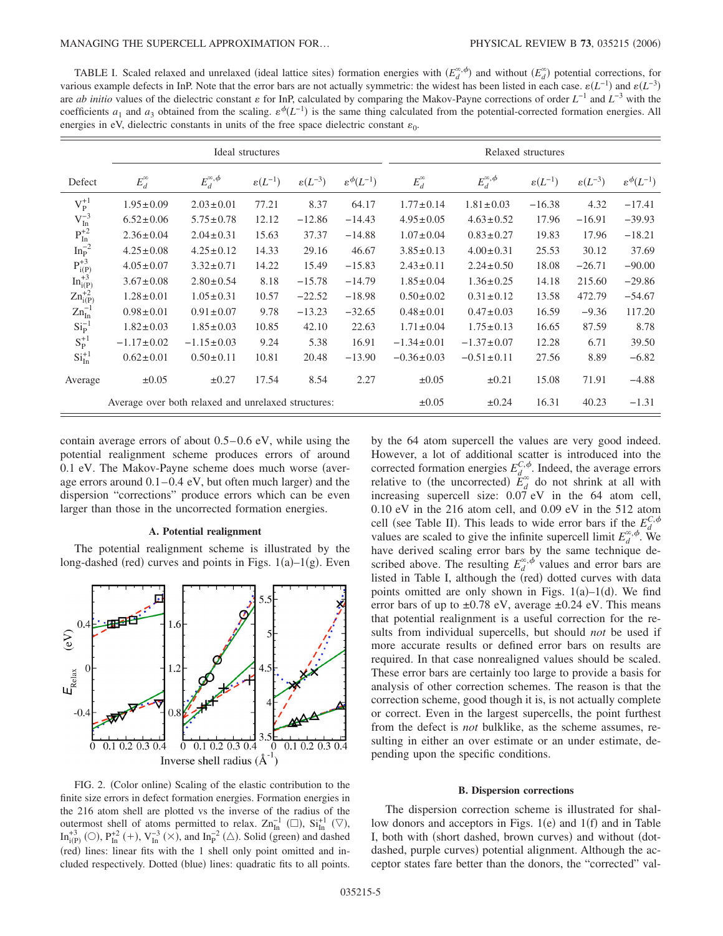TABLE I. Scaled relaxed and unrelaxed (ideal lattice sites) formation energies with  $(E_d^{\alpha, \phi})$  and without  $(E_d^{\alpha})$  potential corrections, for various example defects in InP. Note that the error bars are not actually symmetric: the widest has been listed in each case.  $\varepsilon(L^{-1})$  and  $\varepsilon(L^{-3})$ are *ab initio* values of the dielectric constant  $\varepsilon$  for InP, calculated by comparing the Makov-Payne corrections of order  $L^{-1}$  and  $L^{-3}$  with the coefficients  $a_1$  and  $a_3$  obtained from the scaling.  $\varepsilon^{\phi}(L^{-1})$  is the same thing calculated from the potential-corrected formation energies. All energies in eV, dielectric constants in units of the free space dielectric constant  $\varepsilon_0$ .

|                                                                  |                                                     |                  | Ideal structures                               |          |                              | Relaxed structures |                     |                       |                       |                              |  |  |  |
|------------------------------------------------------------------|-----------------------------------------------------|------------------|------------------------------------------------|----------|------------------------------|--------------------|---------------------|-----------------------|-----------------------|------------------------------|--|--|--|
| Defect                                                           | $E_d^{\infty,\phi}$<br>$E_d^{\infty}$               |                  | $\varepsilon(L^{-3})$<br>$\varepsilon(L^{-1})$ |          | $\varepsilon^{\phi}(L^{-1})$ | $E_d^{\infty}$     | $E_d^{\infty,\phi}$ | $\varepsilon(L^{-1})$ | $\varepsilon(L^{-3})$ | $\varepsilon^{\phi}(L^{-1})$ |  |  |  |
| $V_P^{+1}$                                                       | $1.95 \pm 0.09$                                     | $2.03 \pm 0.01$  | 77.21                                          | 8.37     | 64.17                        | $1.77 \pm 0.14$    | $1.81 \pm 0.03$     | $-16.38$              | 4.32                  | $-17.41$                     |  |  |  |
| $V_{In}^{-3}$                                                    | $6.52 \pm 0.06$                                     | $5.75 \pm 0.78$  | 12.12                                          | $-12.86$ | $-14.43$                     | $4.95 \pm 0.05$    | $4.63 \pm 0.52$     | 17.96                 | $-16.91$              | $-39.93$                     |  |  |  |
| $\mathrm{P_{In}^{+2}}$                                           | $2.36 \pm 0.04$                                     | $2.04 \pm 0.31$  | 15.63                                          | 37.37    | $-14.88$                     | $1.07 \pm 0.04$    | $0.83 \pm 0.27$     | 19.83                 | 17.96                 | $-18.21$                     |  |  |  |
| $In_{P}^{-2}$                                                    | $4.25 \pm 0.08$                                     | $4.25 \pm 0.12$  | 14.33                                          | 29.16    | 46.67                        | $3.85 \pm 0.13$    | $4.00 \pm 0.31$     | 25.53                 | 30.12                 | 37.69                        |  |  |  |
| $\begin{array}{c} P_{i(P)}^{+3} \\ {In_{i(P)}^{+3}} \end{array}$ | $4.05 \pm 0.07$                                     | $3.32 \pm 0.71$  | 14.22                                          | 15.49    | $-15.83$                     | $2.43 \pm 0.11$    | $2.24 \pm 0.50$     | 18.08                 | $-26.71$              | $-90.00$                     |  |  |  |
|                                                                  | $3.67 \pm 0.08$                                     | $2.80 \pm 0.54$  | 8.18                                           | $-15.78$ | $-14.79$                     | $1.85 \pm 0.04$    | $1.36 \pm 0.25$     | 14.18                 | 215.60                | $-29.86$                     |  |  |  |
| $\text{Zn}_{i(P)}^{+2}$                                          | $1.28 \pm 0.01$                                     | $1.05 \pm 0.31$  | 10.57                                          | $-22.52$ | $-18.98$                     | $0.50 \pm 0.02$    | $0.31 \pm 0.12$     | 13.58                 | 472.79                | $-54.67$                     |  |  |  |
| $\text{Zn}_{\text{In}}^{-1}$                                     | $0.98 \pm 0.01$<br>$0.91 \pm 0.07$                  |                  | 9.78                                           | $-13.23$ | $-32.65$                     | $0.48 \pm 0.01$    | $0.47 \pm 0.03$     | 16.59                 | $-9.36$               | 117.20                       |  |  |  |
| $Si_P^{-1}$                                                      | $1.82 \pm 0.03$                                     | $1.85 \pm 0.03$  | 10.85                                          | 42.10    | 22.63                        | $1.71 \pm 0.04$    | $1.75 \pm 0.13$     | 16.65                 | 87.59                 | 8.78                         |  |  |  |
| $S_P^{+1}$                                                       | $-1.17 \pm 0.02$                                    | $-1.15 \pm 0.03$ | 9.24                                           | 5.38     | 16.91                        | $-1.34 \pm 0.01$   | $-1.37 \pm 0.07$    | 12.28                 | 6.71                  | 39.50                        |  |  |  |
| $SiIn+1$                                                         | $0.62 \pm 0.01$                                     | $0.50 \pm 0.11$  | 10.81                                          | 20.48    | $-13.90$                     | $-0.36 \pm 0.03$   | $-0.51 \pm 0.11$    | 27.56                 | 8.89                  | $-6.82$                      |  |  |  |
| Average                                                          | $\pm 0.05$                                          | $\pm 0.27$       | 17.54                                          | 8.54     | 2.27                         | $\pm 0.05$         | $\pm 0.21$          | 15.08                 | 71.91                 | $-4.88$                      |  |  |  |
|                                                                  | Average over both relaxed and unrelaxed structures: |                  |                                                |          |                              | $\pm 0.05$         | $\pm 0.24$          | 16.31                 | 40.23                 | $-1.31$                      |  |  |  |

contain average errors of about 0.5–0.6 eV, while using the potential realignment scheme produces errors of around  $0.1$  eV. The Makov-Payne scheme does much worse (average errors around  $0.1-0.4$  eV, but often much larger) and the dispersion "corrections" produce errors which can be even larger than those in the uncorrected formation energies.

#### **A. Potential realignment**

The potential realignment scheme is illustrated by the long-dashed (red) curves and points in Figs.  $1(a)-1(g)$ . Even



FIG. 2. (Color online) Scaling of the elastic contribution to the finite size errors in defect formation energies. Formation energies in the 216 atom shell are plotted vs the inverse of the radius of the outermost shell of atoms permitted to relax.  $\text{Zn}_{\text{In}}^{-1}$  ( $\square$ ),  $\text{Si}_{\text{In}}^{+1}$  ( $\nabla$ ), In<sup>+3</sup><sub>i(P)</sub> (O), P<sub>In</sub><sup>+2</sup> (+), V<sub>In</sub><sup>-3</sup> ( $\times$ ), and In<sub>p</sub><sup>-2</sup> ( $\triangle$ ). Solid (green) and dashed (red) lines: linear fits with the 1 shell only point omitted and included respectively. Dotted (blue) lines: quadratic fits to all points.

by the 64 atom supercell the values are very good indeed. However, a lot of additional scatter is introduced into the corrected formation energies  $E_{d}^{C, \phi}$ . Indeed, the average errors relative to (the uncorrected)  $E_d^{\infty}$  do not shrink at all with increasing supercell size: 0.07 eV in the 64 atom cell, 0.10 eV in the 216 atom cell, and 0.09 eV in the 512 atom cell (see Table II). This leads to wide error bars if the  $E_d^{C,\phi}$ values are scaled to give the infinite supercell limit  $E_d^{\infty,\phi}$ . We have derived scaling error bars by the same technique described above. The resulting  $E_d^{\infty,\phi}$  values and error bars are listed in Table I, although the (red) dotted curves with data points omitted are only shown in Figs.  $1(a)-1(d)$ . We find error bars of up to  $\pm 0.78$  eV, average  $\pm 0.24$  eV. This means that potential realignment is a useful correction for the results from individual supercells, but should *not* be used if more accurate results or defined error bars on results are required. In that case nonrealigned values should be scaled. These error bars are certainly too large to provide a basis for analysis of other correction schemes. The reason is that the correction scheme, good though it is, is not actually complete or correct. Even in the largest supercells, the point furthest from the defect is *not* bulklike, as the scheme assumes, resulting in either an over estimate or an under estimate, depending upon the specific conditions.

## **B. Dispersion corrections**

The dispersion correction scheme is illustrated for shallow donors and acceptors in Figs. 1(e) and 1(f) and in Table I, both with (short dashed, brown curves) and without (dotdashed, purple curves) potential alignment. Although the acceptor states fare better than the donors, the "corrected" val-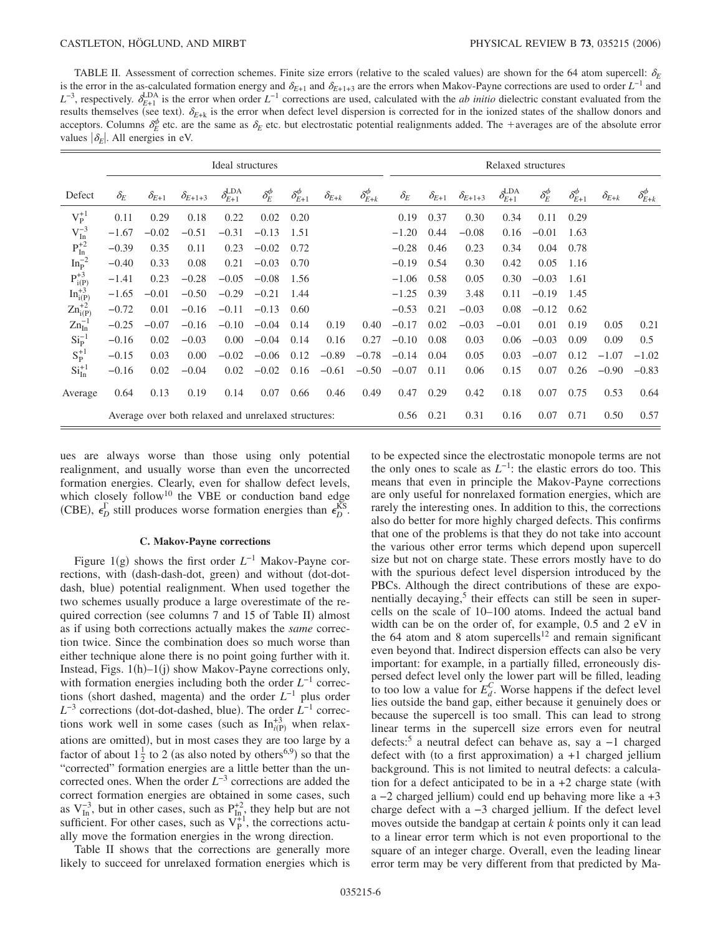TABLE II. Assessment of correction schemes. Finite size errors (relative to the scaled values) are shown for the 64 atom supercell:  $\delta_E$ is the error in the as-calculated formation energy and  $\delta_{E+1}$  and  $\delta_{E+1+3}$  are the errors when Makov-Payne corrections are used to order  $L^{-1}$  and  $L^{-3}$ , respectively.  $\delta_{E+1}^{LDA}$  is the error when order  $L^{-1}$  corrections are used, calculated with the *ab initio* dielectric constant evaluated from the results themselves (see text).  $\delta_{E+k}$  is the error when defect level dispersion is corrected for in the ionized states of the shallow donors and acceptors. Columns  $\delta_E^{\phi}$  etc. are the same as  $\delta_E$  etc. but electrostatic potential realignments added. The +averages are of the absolute error values  $|\delta_F|$ . All energies in eV.

|                               | Ideal structures                                    |                |                  |                          |                   |                       |                |                       | Relaxed structures |                |                  |                             |                   |                       |                |                       |  |
|-------------------------------|-----------------------------------------------------|----------------|------------------|--------------------------|-------------------|-----------------------|----------------|-----------------------|--------------------|----------------|------------------|-----------------------------|-------------------|-----------------------|----------------|-----------------------|--|
| Defect                        | $\delta_E$                                          | $\delta_{E+1}$ | $\delta_{E+1+3}$ | $\delta^{\rm LDA}_{E+1}$ | $\delta_E^{\phi}$ | $\delta_{E+1}^{\phi}$ | $\delta_{E+k}$ | $\delta_{E+k}^{\phi}$ | $\delta_E$         | $\delta_{E+1}$ | $\delta_{E+1+3}$ | $\delta_{E+1}^{\text{LDA}}$ | $\delta_E^{\phi}$ | $\delta_{E+1}^{\phi}$ | $\delta_{E+k}$ | $\delta_{E+k}^{\phi}$ |  |
| $V_P^{+1}$                    | 0.11                                                | 0.29           | 0.18             | 0.22                     | 0.02              | 0.20                  |                |                       | 0.19               | 0.37           | 0.30             | 0.34                        | 0.11              | 0.29                  |                |                       |  |
| $V_{In}^{-3}$                 | $-1.67$                                             | $-0.02$        | $-0.51$          | $-0.31$                  | $-0.13$           | 1.51                  |                |                       | $-1.20$            | 0.44           | $-0.08$          | 0.16                        | $-0.01$           | 1.63                  |                |                       |  |
| $\mathrm{P_{In}^{+2}}$        | $-0.39$                                             | 0.35           | 0.11             | 0.23                     | $-0.02$           | 0.72                  |                |                       | $-0.28$            | 0.46           | 0.23             | 0.34                        | 0.04              | 0.78                  |                |                       |  |
| $\mathrm{In}^{-2}_\mathrm{P}$ | $-0.40$                                             | 0.33           | 0.08             | 0.21                     | $-0.03$           | 0.70                  |                |                       | $-0.19$            | 0.54           | 0.30             | 0.42                        | 0.05              | 1.16                  |                |                       |  |
| $P_{i(P)}^{+3}$               | $-1.41$                                             | 0.23           | $-0.28$          | $-0.05$                  | $-0.08$           | 1.56                  |                |                       | $-1.06$            | 0.58           | 0.05             | 0.30                        | $-0.03$           | 1.61                  |                |                       |  |
| $In_{i(P)}^{+3}$              | $-1.65$                                             | $-0.01$        | $-0.50$          | $-0.29$                  | $-0.21$           | 1.44                  |                |                       | $-1.25$            | 0.39           | 3.48             | 0.11                        | $-0.19$           | 1.45                  |                |                       |  |
| $\text{Zn}_{i(P)}^{+2}$       | $-0.72$                                             | 0.01           | $-0.16$          | $-0.11$                  | $-0.13$           | 0.60                  |                |                       | $-0.53$            | 0.21           | $-0.03$          | 0.08                        | $-0.12$           | 0.62                  |                |                       |  |
| $\text{Zn}_{\text{In}}^{-1}$  | $-0.25$                                             | $-0.07$        | $-0.16$          | $-0.10$                  | $-0.04$           | 0.14                  | 0.19           | 0.40                  | $-0.17$            | 0.02           | $-0.03$          | $-0.01$                     | 0.01              | 0.19                  | 0.05           | 0.21                  |  |
| $Sip-1$                       | $-0.16$                                             | 0.02           | $-0.03$          | 0.00                     | $-0.04$           | 0.14                  | 0.16           | 0.27                  | $-0.10$            | 0.08           | 0.03             | 0.06                        | $-0.03$           | 0.09                  | 0.09           | 0.5                   |  |
| $S_P^{+1}$                    | $-0.15$                                             | 0.03           | 0.00             | $-0.02$                  | $-0.06$           | 0.12                  | $-0.89$        | $-0.78$               | $-0.14$            | 0.04           | 0.05             | 0.03                        | $-0.07$           | 0.12                  | $-1.07$        | $-1.02$               |  |
| $SiIn+1$                      | $-0.16$                                             | 0.02           | $-0.04$          | 0.02                     | $-0.02$           | 0.16                  | $-0.61$        | $-0.50$               | $-0.07$            | 0.11           | 0.06             | 0.15                        | 0.07              | 0.26                  | $-0.90$        | $-0.83$               |  |
| Average                       | 0.64                                                | 0.13           | 0.19             | 0.14                     | 0.07              | 0.66                  | 0.46           | 0.49                  | 0.47               | 0.29           | 0.42             | 0.18                        | 0.07              | 0.75                  | 0.53           | 0.64                  |  |
|                               | Average over both relaxed and unrelaxed structures: |                |                  |                          |                   |                       |                |                       | 0.56               | 0.21           | 0.31             | 0.16                        | 0.07              | 0.71                  | 0.50           | 0.57                  |  |

ues are always worse than those using only potential realignment, and usually worse than even the uncorrected formation energies. Clearly, even for shallow defect levels, which closely follow<sup>10</sup> the VBE or conduction band edge (CBE),  $\epsilon_D^{\Gamma}$  still produces worse formation energies than  $\epsilon_D^{KS}$ .

## **C. Makov-Payne corrections**

Figure 1(g) shows the first order *L*<sup>−1</sup> Makov-Payne corrections, with (dash-dash-dot, green) and without (dot-dotdash, blue) potential realignment. When used together the two schemes usually produce a large overestimate of the required correction (see columns 7 and 15 of Table II) almost as if using both corrections actually makes the *same* correction twice. Since the combination does so much worse than either technique alone there is no point going further with it. Instead, Figs. 1(h)-1(j) show Makov-Payne corrections only, with formation energies including both the order *L*−1 corrections (short dashed, magenta) and the order  $L^{-1}$  plus order *L*<sup>−3</sup> corrections (dot-dot-dashed, blue). The order *L*<sup>−1</sup> corrections work well in some cases (such as  $In_{i(P)}^{+3}$  when relaxations are omitted), but in most cases they are too large by a factor of about  $1\frac{1}{2}$  to 2 (as also noted by others<sup>6,9</sup>) so that the "corrected" formation energies are a little better than the uncorrected ones. When the order *L*−3 corrections are added the correct formation energies are obtained in some cases, such as  $V_{In}^{-3}$ , but in other cases, such as  $P_{In}^{+2}$ , they help but are not sufficient. For other cases, such as  $V_P^{\ddag 1}$ , the corrections actually move the formation energies in the wrong direction.

Table II shows that the corrections are generally more likely to succeed for unrelaxed formation energies which is to be expected since the electrostatic monopole terms are not the only ones to scale as *L*−1: the elastic errors do too. This means that even in principle the Makov-Payne corrections are only useful for nonrelaxed formation energies, which are rarely the interesting ones. In addition to this, the corrections also do better for more highly charged defects. This confirms that one of the problems is that they do not take into account the various other error terms which depend upon supercell size but not on charge state. These errors mostly have to do with the spurious defect level dispersion introduced by the PBCs. Although the direct contributions of these are exponentially decaying, $5$  their effects can still be seen in supercells on the scale of 10–100 atoms. Indeed the actual band width can be on the order of, for example, 0.5 and 2 eV in the 64 atom and 8 atom supercells<sup>12</sup> and remain significant even beyond that. Indirect dispersion effects can also be very important: for example, in a partially filled, erroneously dispersed defect level only the lower part will be filled, leading to too low a value for  $E_d^C$ . Worse happens if the defect level lies outside the band gap, either because it genuinely does or because the supercell is too small. This can lead to strong linear terms in the supercell size errors even for neutral defects:5 a neutral defect can behave as, say a −1 charged defect with (to a first approximation)  $a + 1$  charged jellium background. This is not limited to neutral defects: a calculation for a defect anticipated to be in a  $+2$  charge state (with a -2 charged jellium) could end up behaving more like a +3 charge defect with a −3 charged jellium. If the defect level moves outside the bandgap at certain *k* points only it can lead to a linear error term which is not even proportional to the square of an integer charge. Overall, even the leading linear error term may be very different from that predicted by Ma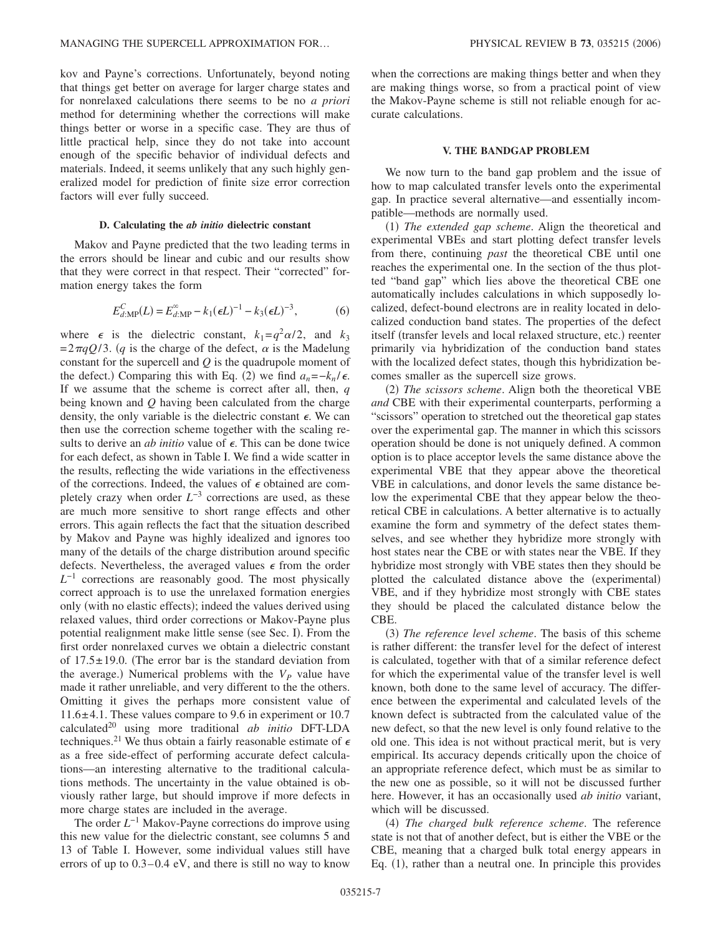kov and Payne's corrections. Unfortunately, beyond noting that things get better on average for larger charge states and for nonrelaxed calculations there seems to be no *a priori* method for determining whether the corrections will make things better or worse in a specific case. They are thus of little practical help, since they do not take into account enough of the specific behavior of individual defects and materials. Indeed, it seems unlikely that any such highly generalized model for prediction of finite size error correction factors will ever fully succeed.

## **D. Calculating the** *ab initio* **dielectric constant**

Makov and Payne predicted that the two leading terms in the errors should be linear and cubic and our results show that they were correct in that respect. Their "corrected" formation energy takes the form

$$
E_{d:\text{MP}}^{C}(L) = E_{d:\text{MP}}^{\infty} - k_1(\epsilon L)^{-1} - k_3(\epsilon L)^{-3},\tag{6}
$$

where  $\epsilon$  is the dielectric constant,  $k_1 = q^2 \alpha/2$ , and  $k_3$  $=2\pi qQ/3$ . (q is the charge of the defect,  $\alpha$  is the Madelung constant for the supercell and *Q* is the quadrupole moment of the defect.) Comparing this with Eq. (2) we find  $a_n = -k_n / \epsilon$ . If we assume that the scheme is correct after all, then, *q* being known and *Q* having been calculated from the charge density, the only variable is the dielectric constant  $\epsilon$ . We can then use the correction scheme together with the scaling results to derive an *ab initio* value of  $\epsilon$ . This can be done twice for each defect, as shown in Table I. We find a wide scatter in the results, reflecting the wide variations in the effectiveness of the corrections. Indeed, the values of  $\epsilon$  obtained are completely crazy when order  $L^{-3}$  corrections are used, as these are much more sensitive to short range effects and other errors. This again reflects the fact that the situation described by Makov and Payne was highly idealized and ignores too many of the details of the charge distribution around specific defects. Nevertheless, the averaged values  $\epsilon$  from the order  $L^{-1}$  corrections are reasonably good. The most physically correct approach is to use the unrelaxed formation energies only (with no elastic effects); indeed the values derived using relaxed values, third order corrections or Makov-Payne plus potential realignment make little sense (see Sec. I). From the first order nonrelaxed curves we obtain a dielectric constant of  $17.5 \pm 19.0$ . (The error bar is the standard deviation from the average.) Numerical problems with the  $V_p$  value have made it rather unreliable, and very different to the the others. Omitting it gives the perhaps more consistent value of 11.6±4.1. These values compare to 9.6 in experiment or 10.7 calculated20 using more traditional *ab initio* DFT-LDA techniques.<sup>21</sup> We thus obtain a fairly reasonable estimate of  $\epsilon$ as a free side-effect of performing accurate defect calculations—an interesting alternative to the traditional calculations methods. The uncertainty in the value obtained is obviously rather large, but should improve if more defects in more charge states are included in the average.

The order *L*<sup>−1</sup> Makov-Payne corrections do improve using this new value for the dielectric constant, see columns 5 and 13 of Table I. However, some individual values still have errors of up to 0.3–0.4 eV, and there is still no way to know when the corrections are making things better and when they are making things worse, so from a practical point of view the Makov-Payne scheme is still not reliable enough for accurate calculations.

# **V. THE BANDGAP PROBLEM**

We now turn to the band gap problem and the issue of how to map calculated transfer levels onto the experimental gap. In practice several alternative—and essentially incompatible—methods are normally used.

(1) The extended gap scheme. Align the theoretical and experimental VBEs and start plotting defect transfer levels from there, continuing *past* the theoretical CBE until one reaches the experimental one. In the section of the thus plotted "band gap" which lies above the theoretical CBE one automatically includes calculations in which supposedly localized, defect-bound electrons are in reality located in delocalized conduction band states. The properties of the defect itself (transfer levels and local relaxed structure, etc.) reenter primarily via hybridization of the conduction band states with the localized defect states, though this hybridization becomes smaller as the supercell size grows.

(2) The scissors scheme. Align both the theoretical VBE *and* CBE with their experimental counterparts, performing a "scissors" operation to stretched out the theoretical gap states over the experimental gap. The manner in which this scissors operation should be done is not uniquely defined. A common option is to place acceptor levels the same distance above the experimental VBE that they appear above the theoretical VBE in calculations, and donor levels the same distance below the experimental CBE that they appear below the theoretical CBE in calculations. A better alternative is to actually examine the form and symmetry of the defect states themselves, and see whether they hybridize more strongly with host states near the CBE or with states near the VBE. If they hybridize most strongly with VBE states then they should be plotted the calculated distance above the (experimental) VBE, and if they hybridize most strongly with CBE states they should be placed the calculated distance below the CBE.

(3) The reference level scheme. The basis of this scheme is rather different: the transfer level for the defect of interest is calculated, together with that of a similar reference defect for which the experimental value of the transfer level is well known, both done to the same level of accuracy. The difference between the experimental and calculated levels of the known defect is subtracted from the calculated value of the new defect, so that the new level is only found relative to the old one. This idea is not without practical merit, but is very empirical. Its accuracy depends critically upon the choice of an appropriate reference defect, which must be as similar to the new one as possible, so it will not be discussed further here. However, it has an occasionally used *ab initio* variant, which will be discussed.

(4) The charged bulk reference scheme. The reference state is not that of another defect, but is either the VBE or the CBE, meaning that a charged bulk total energy appears in Eq. (1), rather than a neutral one. In principle this provides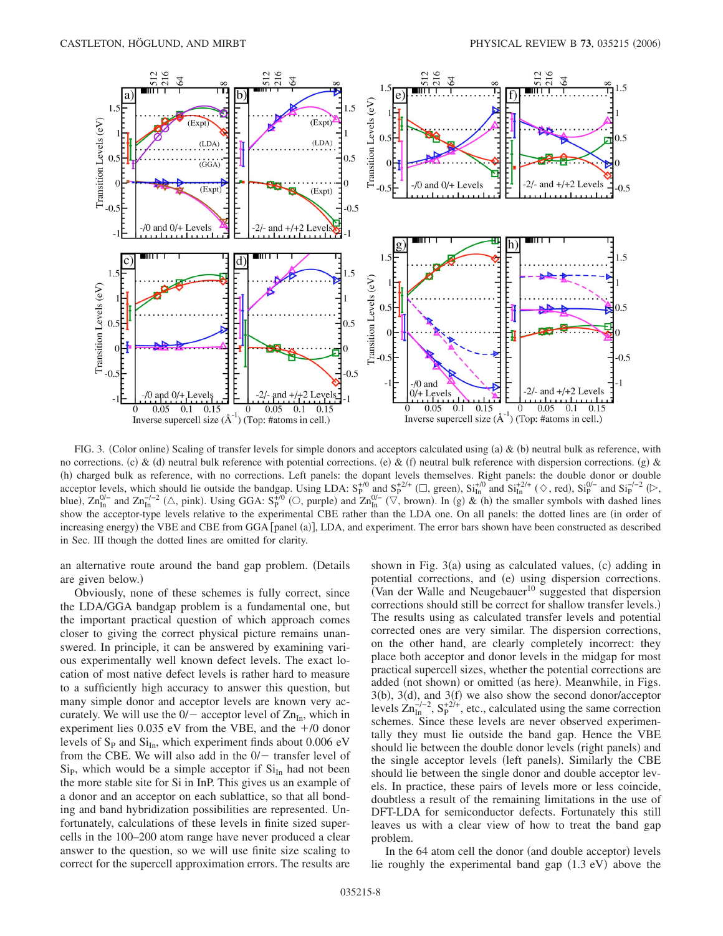

FIG. 3. (Color online) Scaling of transfer levels for simple donors and acceptors calculated using (a)  $\&$  (b) neutral bulk as reference, with no corrections. (c) & (d) neutral bulk reference with potential corrections. (e) & (f) neutral bulk reference with dispersion corrections. (g) & (h) charged bulk as reference, with no corrections. Left panels: the dopant levels themselves. Right panels: the double donor or double acceptor levels, which should lie outside the bandgap. Using LDA:  $S_P^{+/0}$  and  $S_P^{+2/+}$  ( $\Box$ , green),  $S_i^{+/0}$  and  $S_i^{+/2/+}$  ( $\diamond$ , red),  $S_i^{0/-}$  and  $S_i^{-/-2}$  ( $\diamond$ , blue),  $\text{Zn}_{\text{In}}^{0/-}$  and  $\text{Zn}_{\text{In}}^{-/-2}$  ( $\triangle$ , pink). Using GGA:  $\text{S}_{\text{P}}^{+(0)}$  ( $\heartsuit$ , purple) and  $\text{Zn}_{\text{In}}^{0/-}$  ( $\triangledown$ , brown). In (g) & (h) the smaller symbols with dashed lines show the acceptor-type levels relative to the experimental CBE rather than the LDA one. On all panels: the dotted lines are (in order of increasing energy) the VBE and CBE from GGA [panel (a)], LDA, and experiment. The error bars shown have been constructed as described in Sec. III though the dotted lines are omitted for clarity.

an alternative route around the band gap problem. Details are given below.)

Obviously, none of these schemes is fully correct, since the LDA/GGA bandgap problem is a fundamental one, but the important practical question of which approach comes closer to giving the correct physical picture remains unanswered. In principle, it can be answered by examining various experimentally well known defect levels. The exact location of most native defect levels is rather hard to measure to a sufficiently high accuracy to answer this question, but many simple donor and acceptor levels are known very accurately. We will use the  $0/-$  acceptor level of  $Zn_{In}$ , which in experiment lies  $0.035$  eV from the VBE, and the  $+/0$  donor levels of  $S_p$  and  $Si_{In}$ , which experiment finds about 0.006 eV from the CBE. We will also add in the  $0/-$  transfer level of  $Si<sub>P</sub>$ , which would be a simple acceptor if  $Si<sub>In</sub>$  had not been the more stable site for Si in InP. This gives us an example of a donor and an acceptor on each sublattice, so that all bonding and band hybridization possibilities are represented. Unfortunately, calculations of these levels in finite sized supercells in the 100–200 atom range have never produced a clear answer to the question, so we will use finite size scaling to correct for the supercell approximation errors. The results are

shown in Fig. 3(a) using as calculated values, (c) adding in potential corrections, and (e) using dispersion corrections. (Van der Walle and Neugebauer<sup>10</sup> suggested that dispersion corrections should still be correct for shallow transfer levels.) The results using as calculated transfer levels and potential corrected ones are very similar. The dispersion corrections, on the other hand, are clearly completely incorrect: they place both acceptor and donor levels in the midgap for most practical supercell sizes, whether the potential corrections are added (not shown) or omitted (as here). Meanwhile, in Figs.  $3(b)$ ,  $3(d)$ , and  $3(f)$  we also show the second donor/acceptor levels  $\text{Zn}_{\text{In}}^{-/-2}$ ,  $\text{S}_{\text{P}}^{+2/+}$ , etc., calculated using the same correction schemes. Since these levels are never observed experimentally they must lie outside the band gap. Hence the VBE should lie between the double donor levels (right panels) and the single acceptor levels (left panels). Similarly the CBE should lie between the single donor and double acceptor levels. In practice, these pairs of levels more or less coincide, doubtless a result of the remaining limitations in the use of DFT-LDA for semiconductor defects. Fortunately this still leaves us with a clear view of how to treat the band gap problem.

In the 64 atom cell the donor (and double acceptor) levels lie roughly the experimental band gap  $(1.3 \text{ eV})$  above the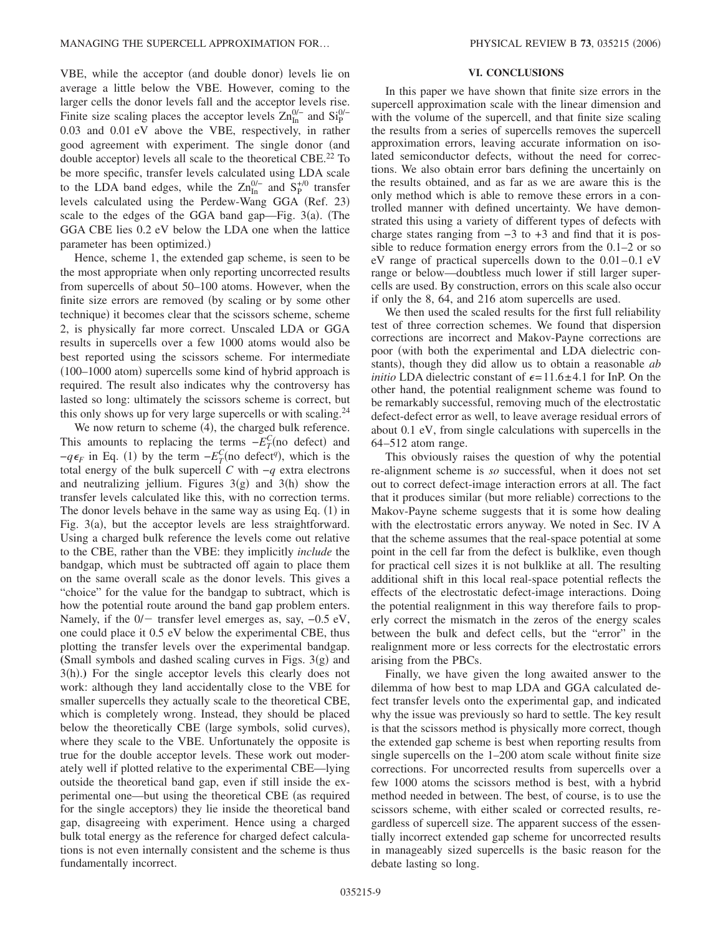VBE, while the acceptor (and double donor) levels lie on average a little below the VBE. However, coming to the larger cells the donor levels fall and the acceptor levels rise. Finite size scaling places the acceptor levels  $\text{Zn}_{\text{In}}^{0/-}$  and  $\text{Si}_{\text{P}}^{0/-}$ 0.03 and 0.01 eV above the VBE, respectively, in rather good agreement with experiment. The single donor (and double acceptor) levels all scale to the theoretical CBE.<sup>22</sup> To be more specific, transfer levels calculated using LDA scale to the LDA band edges, while the  $\text{Zn}_{\text{In}}^{0/-}$  and  $\text{S}_{\text{P}}^{+/0}$  transfer levels calculated using the Perdew-Wang GGA (Ref. 23) scale to the edges of the GGA band gap—Fig.  $3(a)$ . (The GGA CBE lies 0.2 eV below the LDA one when the lattice parameter has been optimized.)

Hence, scheme 1, the extended gap scheme, is seen to be the most appropriate when only reporting uncorrected results from supercells of about 50–100 atoms. However, when the finite size errors are removed (by scaling or by some other technique) it becomes clear that the scissors scheme, scheme 2, is physically far more correct. Unscaled LDA or GGA results in supercells over a few 1000 atoms would also be best reported using the scissors scheme. For intermediate (100-1000 atom) supercells some kind of hybrid approach is required. The result also indicates why the controversy has lasted so long: ultimately the scissors scheme is correct, but this only shows up for very large supercells or with scaling.<sup>24</sup>

We now return to scheme (4), the charged bulk reference. This amounts to replacing the terms  $-E_T^C$ (no defect) and  $-q\epsilon_F$  in Eq. (1) by the term  $-E_T^C$ (no defect<sup>*q*</sup>), which is the total energy of the bulk supercell *C* with −*q* extra electrons and neutralizing jellium. Figures  $3(g)$  and  $3(h)$  show the transfer levels calculated like this, with no correction terms. The donor levels behave in the same way as using Eq.  $(1)$  in Fig. 3(a), but the acceptor levels are less straightforward. Using a charged bulk reference the levels come out relative to the CBE, rather than the VBE: they implicitly *include* the bandgap, which must be subtracted off again to place them on the same overall scale as the donor levels. This gives a "choice" for the value for the bandgap to subtract, which is how the potential route around the band gap problem enters. Namely, if the  $0/-$  transfer level emerges as, say,  $-0.5$  eV, one could place it 0.5 eV below the experimental CBE, thus plotting the transfer levels over the experimental bandgap.  $(Small symbols and dashed scaling curves in Figs.  $3(g)$  and$ 3(h).) For the single acceptor levels this clearly does not work: although they land accidentally close to the VBE for smaller supercells they actually scale to the theoretical CBE, which is completely wrong. Instead, they should be placed below the theoretically CBE (large symbols, solid curves), where they scale to the VBE. Unfortunately the opposite is true for the double acceptor levels. These work out moderately well if plotted relative to the experimental CBE—lying outside the theoretical band gap, even if still inside the experimental one—but using the theoretical CBE (as required for the single acceptors) they lie inside the theoretical band gap, disagreeing with experiment. Hence using a charged bulk total energy as the reference for charged defect calculations is not even internally consistent and the scheme is thus fundamentally incorrect.

## **VI. CONCLUSIONS**

In this paper we have shown that finite size errors in the supercell approximation scale with the linear dimension and with the volume of the supercell, and that finite size scaling the results from a series of supercells removes the supercell approximation errors, leaving accurate information on isolated semiconductor defects, without the need for corrections. We also obtain error bars defining the uncertainly on the results obtained, and as far as we are aware this is the only method which is able to remove these errors in a controlled manner with defined uncertainty. We have demonstrated this using a variety of different types of defects with charge states ranging from −3 to +3 and find that it is possible to reduce formation energy errors from the 0.1–2 or so eV range of practical supercells down to the 0.01–0.1 eV range or below—doubtless much lower if still larger supercells are used. By construction, errors on this scale also occur if only the 8, 64, and 216 atom supercells are used.

We then used the scaled results for the first full reliability test of three correction schemes. We found that dispersion corrections are incorrect and Makov-Payne corrections are poor (with both the experimental and LDA dielectric constants), though they did allow us to obtain a reasonable *ab initio* LDA dielectric constant of  $\epsilon = 11.6 \pm 4.1$  for InP. On the other hand, the potential realignment scheme was found to be remarkably successful, removing much of the electrostatic defect-defect error as well, to leave average residual errors of about 0.1 eV, from single calculations with supercells in the 64–512 atom range.

This obviously raises the question of why the potential re-alignment scheme is *so* successful, when it does not set out to correct defect-image interaction errors at all. The fact that it produces similar (but more reliable) corrections to the Makov-Payne scheme suggests that it is some how dealing with the electrostatic errors anyway. We noted in Sec. IV A that the scheme assumes that the real-space potential at some point in the cell far from the defect is bulklike, even though for practical cell sizes it is not bulklike at all. The resulting additional shift in this local real-space potential reflects the effects of the electrostatic defect-image interactions. Doing the potential realignment in this way therefore fails to properly correct the mismatch in the zeros of the energy scales between the bulk and defect cells, but the "error" in the realignment more or less corrects for the electrostatic errors arising from the PBCs.

Finally, we have given the long awaited answer to the dilemma of how best to map LDA and GGA calculated defect transfer levels onto the experimental gap, and indicated why the issue was previously so hard to settle. The key result is that the scissors method is physically more correct, though the extended gap scheme is best when reporting results from single supercells on the 1–200 atom scale without finite size corrections. For uncorrected results from supercells over a few 1000 atoms the scissors method is best, with a hybrid method needed in between. The best, of course, is to use the scissors scheme, with either scaled or corrected results, regardless of supercell size. The apparent success of the essentially incorrect extended gap scheme for uncorrected results in manageably sized supercells is the basic reason for the debate lasting so long.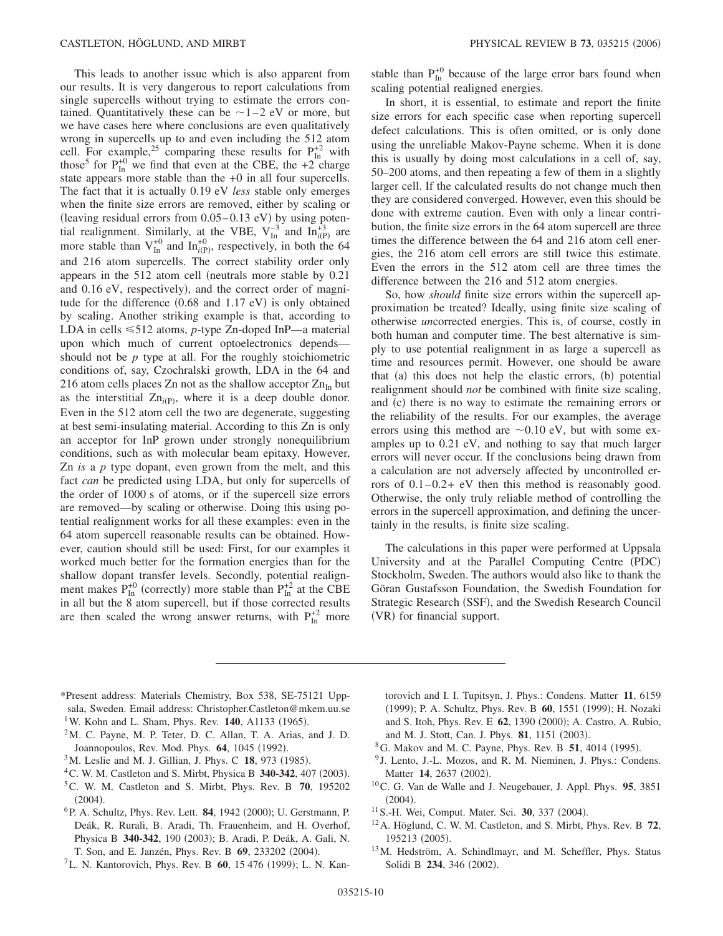This leads to another issue which is also apparent from our results. It is very dangerous to report calculations from single supercells without trying to estimate the errors contained. Quantitatively these can be  $\sim$  1–2 eV or more, but we have cases here where conclusions are even qualitatively wrong in supercells up to and even including the 512 atom cell. For example,<sup>25</sup> comparing these results for  $P_{In}^{+2}$  with those<sup>5</sup> for  $P_{In}^{+0}$  we find that even at the CBE, the +2<sup>"</sup> charge state appears more stable than the +0 in all four supercells. The fact that it is actually 0.19 eV *less* stable only emerges when the finite size errors are removed, either by scaling or (leaving residual errors from  $0.05-0.13$  eV) by using potential realignment. Similarly, at the VBE,  $V_{In}^{-3}$  and  $In_{i(P)}^{+3}$  are more stable than  $V_{In}^{+0}$  and  $In_{i(P)}^{+0}$ , respectively, in both the 64 and 216 atom supercells. The correct stability order only appears in the  $512$  atom cell (neutrals more stable by  $0.21$ and 0.16 eV, respectively), and the correct order of magnitude for the difference  $(0.68 \text{ and } 1.17 \text{ eV})$  is only obtained by scaling. Another striking example is that, according to LDA in cells ≤512 atoms, *p*-type Zn-doped InP—a material upon which much of current optoelectronics depends should not be *p* type at all. For the roughly stoichiometric conditions of, say, Czochralski growth, LDA in the 64 and 216 atom cells places Zn not as the shallow acceptor  $Zn_{In}$  but as the interstitial  $Zn_{i(P)}$ , where it is a deep double donor. Even in the 512 atom cell the two are degenerate, suggesting at best semi-insulating material. According to this Zn is only an acceptor for InP grown under strongly nonequilibrium conditions, such as with molecular beam epitaxy. However, Zn *is* a *p* type dopant, even grown from the melt, and this fact *can* be predicted using LDA, but only for supercells of the order of 1000 s of atoms, or if the supercell size errors are removed—by scaling or otherwise. Doing this using potential realignment works for all these examples: even in the 64 atom supercell reasonable results can be obtained. However, caution should still be used: First, for our examples it worked much better for the formation energies than for the shallow dopant transfer levels. Secondly, potential realignment makes  $P_{In}^{+0}$  (correctly) more stable than  $P_{In}^{+2}$  at the CBE in all but the 8 atom supercell, but if those corrected results are then scaled the wrong answer returns, with  $P_{In}^{+2}$  more

stable than  $P_{In}^{+0}$  because of the large error bars found when scaling potential realigned energies.

In short, it is essential, to estimate and report the finite size errors for each specific case when reporting supercell defect calculations. This is often omitted, or is only done using the unreliable Makov-Payne scheme. When it is done this is usually by doing most calculations in a cell of, say, 50–200 atoms, and then repeating a few of them in a slightly larger cell. If the calculated results do not change much then they are considered converged. However, even this should be done with extreme caution. Even with only a linear contribution, the finite size errors in the 64 atom supercell are three times the difference between the 64 and 216 atom cell energies, the 216 atom cell errors are still twice this estimate. Even the errors in the 512 atom cell are three times the difference between the 216 and 512 atom energies.

So, how *should* finite size errors within the supercell approximation be treated? Ideally, using finite size scaling of otherwise *un*corrected energies. This is, of course, costly in both human and computer time. The best alternative is simply to use potential realignment in as large a supercell as time and resources permit. However, one should be aware that (a) this does not help the elastic errors, (b) potential realignment should *not* be combined with finite size scaling, and (c) there is no way to estimate the remaining errors or the reliability of the results. For our examples, the average errors using this method are  $\sim 0.10$  eV, but with some examples up to 0.21 eV, and nothing to say that much larger errors will never occur. If the conclusions being drawn from a calculation are not adversely affected by uncontrolled errors of 0.1–0.2+ eV then this method is reasonably good. Otherwise, the only truly reliable method of controlling the errors in the supercell approximation, and defining the uncertainly in the results, is finite size scaling.

The calculations in this paper were performed at Uppsala University and at the Parallel Computing Centre (PDC) Stockholm, Sweden. The authors would also like to thank the Göran Gustafsson Foundation, the Swedish Foundation for Strategic Research (SSF), and the Swedish Research Council (VR) for financial support.

- \*Present address: Materials Chemistry, Box 538, SE-75121 Uppsala, Sweden. Email address: Christopher.Castleton@mkem.uu.se <sup>1</sup>W. Kohn and L. Sham, Phys. Rev. **140**, A1133 (1965).
- $2<sup>2</sup>M$ . C. Payne, M. P. Teter, D. C. Allan, T. A. Arias, and J. D. Joannopoulos, Rev. Mod. Phys. 64, 1045 (1992).
- <sup>3</sup>M. Leslie and M. J. Gillian, J. Phys. C **18**, 973 (1985).
- <sup>4</sup> C. W. M. Castleton and S. Mirbt, Physica B 340-342, 407 (2003).
- 5C. W. M. Castleton and S. Mirbt, Phys. Rev. B **70**, 195202  $(2004).$
- <sup>6</sup> P. A. Schultz, Phys. Rev. Lett. **84**, 1942 (2000); U. Gerstmann, P. Deák, R. Rurali, B. Aradi, Th. Frauenheim, and H. Overhof, Physica B 340-342, 190 (2003); B. Aradi, P. Deák, A. Gali, N. T. Son, and E. Janzén, Phys. Rev. B 69, 233202 (2004).
- <sup>7</sup>L. N. Kantorovich, Phys. Rev. B **60**, 15 476 (1999); L. N. Kan-

torovich and I. I. Tupitsyn, J. Phys.: Condens. Matter **11**, 6159 (1999); P. A. Schultz, Phys. Rev. B 60, 1551 (1999); H. Nozaki and S. Itoh, Phys. Rev. E 62, 1390 (2000); A. Castro, A. Rubio, and M. J. Stott, Can. J. Phys. 81, 1151 (2003).

- <sup>8</sup>G. Makov and M. C. Payne, Phys. Rev. B **51**, 4014 (1995).
- <sup>9</sup> J. Lento, J.-L. Mozos, and R. M. Nieminen, J. Phys.: Condens. Matter 14, 2637 (2002).
- 10C. G. Van de Walle and J. Neugebauer, J. Appl. Phys. **95**, 3851  $(2004).$
- <sup>11</sup> S.-H. Wei, Comput. Mater. Sci. **30**, 337 (2004).
- 12A. Höglund, C. W. M. Castleton, and S. Mirbt, Phys. Rev. B **72**, 195213 (2005).
- 13M. Hedström, A. Schindlmayr, and M. Scheffler, Phys. Status Solidi B 234, 346 (2002).